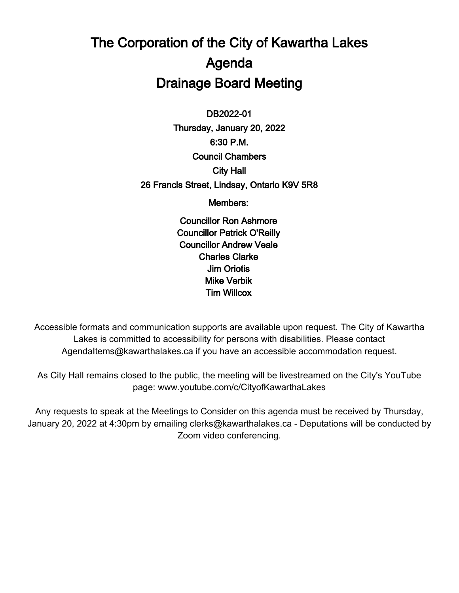# The Corporation of the City of Kawartha Lakes Agenda Drainage Board Meeting

 $\overline{\phantom{a}}$ DB2022-01 Thursday, January 20, 2022 6:30 P.M. Council Chambers City Hall 26 Francis Street, Lindsay, Ontario K9V 5R8

Members:

Councillor Ron Ashmore Councillor Patrick O'Reilly Councillor Andrew Veale Charles Clarke Jim Oriotis Mike Verbik Tim Willcox

Accessible formats and communication supports are available upon request. The City of Kawartha Lakes is committed to accessibility for persons with disabilities. Please contact AgendaItems@kawarthalakes.ca if you have an accessible accommodation request.

As City Hall remains closed to the public, the meeting will be livestreamed on the City's YouTube page: www.youtube.com/c/CityofKawarthaLakes

Any requests to speak at the Meetings to Consider on this agenda must be received by Thursday, January 20, 2022 at 4:30pm by emailing clerks@kawarthalakes.ca - Deputations will be conducted by Zoom video conferencing.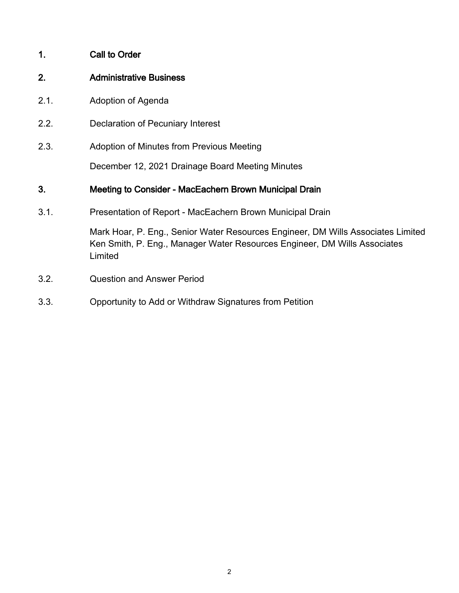#### 1. Call to Order

#### 2. Administrative Business

- 2.1. Adoption of Agenda
- 2.2. Declaration of Pecuniary Interest
- 2.3. Adoption of Minutes from Previous Meeting

December 12, 2021 Drainage Board Meeting Minutes

#### 3. Meeting to Consider - MacEachern Brown Municipal Drain

3.1. Presentation of Report - MacEachern Brown Municipal Drain

Mark Hoar, P. Eng., Senior Water Resources Engineer, DM Wills Associates Limited Ken Smith, P. Eng., Manager Water Resources Engineer, DM Wills Associates Limited

- 3.2. Question and Answer Period
- 3.3. Opportunity to Add or Withdraw Signatures from Petition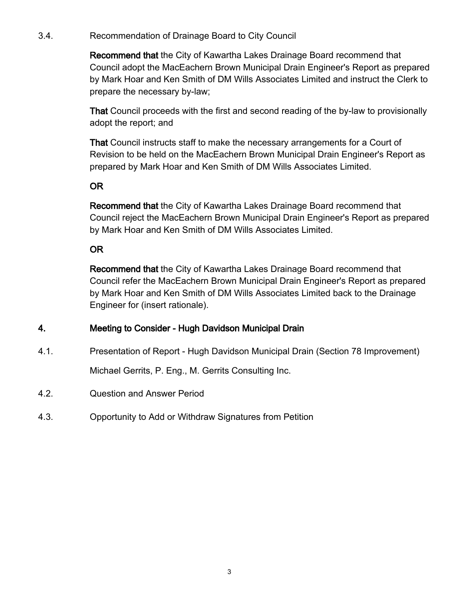3.4. Recommendation of Drainage Board to City Council

Recommend that the City of Kawartha Lakes Drainage Board recommend that Council adopt the MacEachern Brown Municipal Drain Engineer's Report as prepared by Mark Hoar and Ken Smith of DM Wills Associates Limited and instruct the Clerk to prepare the necessary by-law;

That Council proceeds with the first and second reading of the by-law to provisionally adopt the report; and

That Council instructs staff to make the necessary arrangements for a Court of Revision to be held on the MacEachern Brown Municipal Drain Engineer's Report as prepared by Mark Hoar and Ken Smith of DM Wills Associates Limited.

## OR

Recommend that the City of Kawartha Lakes Drainage Board recommend that Council reject the MacEachern Brown Municipal Drain Engineer's Report as prepared by Mark Hoar and Ken Smith of DM Wills Associates Limited.

## OR

Recommend that the City of Kawartha Lakes Drainage Board recommend that Council refer the MacEachern Brown Municipal Drain Engineer's Report as prepared by Mark Hoar and Ken Smith of DM Wills Associates Limited back to the Drainage Engineer for (insert rationale).

## 4. Meeting to Consider - Hugh Davidson Municipal Drain

4.1. Presentation of Report - Hugh Davidson Municipal Drain (Section 78 Improvement)

Michael Gerrits, P. Eng., M. Gerrits Consulting Inc.

- 4.2. Question and Answer Period
- 4.3. Opportunity to Add or Withdraw Signatures from Petition